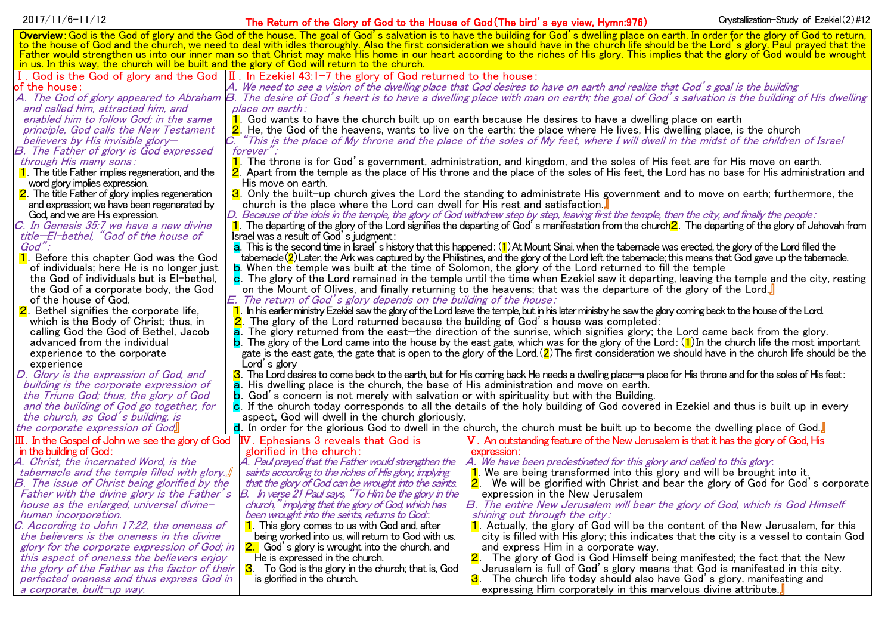## 2017/11/6-11/12 **The Return of the Glory of God to the House of God (The bird's eye view, Hymn:976)** Crystallization-Study of Ezekiel(2)#12

| Overview: God is the God of glory and the God of the house. The goal of God's salvation is to have the building for God's dwelling place on earth. In order for the glory of God to return,                                                                                                                                                                                         |  |
|-------------------------------------------------------------------------------------------------------------------------------------------------------------------------------------------------------------------------------------------------------------------------------------------------------------------------------------------------------------------------------------|--|
| to the house of God and the church, we need to deal with idles thoroughly. Also the first consideration we should have in the church life should be the Lord's glory. Paul prayed that the<br>Father would strengthen us into our inner man so that Christ may make His home in our heart according to the riches of His glory. This implies that the glory of God would be wrought |  |
| in us. In this way, the church will be built and the glory of God will return to the church.                                                                                                                                                                                                                                                                                        |  |
| I. God is the God of glory and the God $ II $ . In Ezekiel 43:1-7 the glory of God returned to the house:                                                                                                                                                                                                                                                                           |  |
| of the house:<br>A. We need to see a vision of the dwelling place that God desires to have on earth and realize that God's goal is the building                                                                                                                                                                                                                                     |  |
|                                                                                                                                                                                                                                                                                                                                                                                     |  |
| A. The God of glory appeared to Abraham B. The desire of God's heart is to have a dwelling place with man on earth; the goal of God's salvation is the building of His dwelling<br>and called him, attracted him, and<br>place on earth:                                                                                                                                            |  |
| enabled him to follow God; in the same<br>1. God wants to have the church built up on earth because He desires to have a dwelling place on earth                                                                                                                                                                                                                                    |  |
| principle, God calls the New Testament<br>2. He, the God of the heavens, wants to live on the earth; the place where He lives, His dwelling place, is the church                                                                                                                                                                                                                    |  |
| "This is the place of My throne and the place of the soles of My feet, where I will dwell in the midst of the children of Israel<br>believers by His invisible glory-                                                                                                                                                                                                               |  |
| forever".<br>B. The Father of glory is God expressed                                                                                                                                                                                                                                                                                                                                |  |
| through His many sons:<br>$\blacksquare$<br>The throne is for God's government, administration, and kingdom, and the soles of His feet are for His move on earth.                                                                                                                                                                                                                   |  |
| $\vert$ The title Father implies regeneration, and the<br>2. Apart from the temple as the place of His throne and the place of the soles of His feet, the Lord has no base for His administration and                                                                                                                                                                               |  |
| word glory implies expression.<br>His move on earth.                                                                                                                                                                                                                                                                                                                                |  |
| 2. The title Father of glory implies regeneration<br>3. Only the built-up church gives the Lord the standing to administrate His government and to move on earth; furthermore, the                                                                                                                                                                                                  |  |
| and expression; we have been regenerated by<br>church is the place where the Lord can dwell for His rest and satisfaction.                                                                                                                                                                                                                                                          |  |
| D. Because of the idols in the temple, the glory of God withdrew step by step, leaving first the temple, then the city, and finally the people:<br>God, and we are His expression.                                                                                                                                                                                                  |  |
| C. In Genesis 35:7 we have a new divine<br>The departing of the glory of the Lord signifies the departing of God's manifestation from the church $2$ . The departing of the glory of Jehovah from                                                                                                                                                                                   |  |
| title-El-bethel, "God of the house of<br>Israel was a result of God's judgment:                                                                                                                                                                                                                                                                                                     |  |
| $God$ ":<br>$a$ . This is the second time in Israel's history that this happened: $(1)$ At Mount Sinai, when the tabemacle was erected, the glory of the Lord filled the                                                                                                                                                                                                            |  |
| 1. Before this chapter God was the God<br>tabernacle $(2)$ Later, the Ark was captured by the Philistines, and the glory of the Lord left the tabernacle; this means that God gave up the tabernacle.                                                                                                                                                                               |  |
| <b>b.</b> When the temple was built at the time of Solomon, the glory of the Lord returned to fill the temple<br>of individuals; here He is no longer just                                                                                                                                                                                                                          |  |
| the God of individuals but is El-bethel,<br>c. The glory of the Lord remained in the temple until the time when Ezekiel saw it departing, leaving the temple and the city, resting                                                                                                                                                                                                  |  |
| the God of a corporate body, the God<br>on the Mount of Olives, and finally returning to the heavens; that was the departure of the glory of the Lord.                                                                                                                                                                                                                              |  |
| of the house of God.<br>E. The return of God's glory depends on the building of the house:                                                                                                                                                                                                                                                                                          |  |
| 2. Bethel signifies the corporate life,<br>In his earlier ministry Ezekiel saw the glory of the Lord leave the temple, but in his later ministry he saw the glory coming back to the house of the Lord.                                                                                                                                                                             |  |
| which is the Body of Christ; thus, in<br>The glory of the Lord returned because the building of God's house was completed:                                                                                                                                                                                                                                                          |  |
| The glory returned from the east—the direction of the sunrise, which signifies glory; the Lord came back from the glory.<br>calling God the God of Bethel, Jacob                                                                                                                                                                                                                    |  |
| advanced from the individual<br><b>b</b> . The glory of the Lord came into the house by the east gate, which was for the glory of the Lord: $(1)$ In the church life the most important                                                                                                                                                                                             |  |
| gate is the east gate, the gate that is open to the glory of the Lord. (2) The first consideration we should have in the church life should be the<br>experience to the corporate                                                                                                                                                                                                   |  |
| Lord's glory<br>experience                                                                                                                                                                                                                                                                                                                                                          |  |
| D. Glory is the expression of God, and<br>3. The Lord desires to come back to the earth, but for His coming back He needs a dwelling place—a place for His throne and for the soles of His feet:                                                                                                                                                                                    |  |
| His dwelling place is the church, the base of His administration and move on earth.<br>building is the corporate expression of                                                                                                                                                                                                                                                      |  |
| the Triune God; thus, the glory of God<br>God's concern is not merely with salvation or with spirituality but with the Building.                                                                                                                                                                                                                                                    |  |
| c. If the church today corresponds to all the details of the holy building of God covered in Ezekiel and thus is built up in every<br>and the building of God go together, for                                                                                                                                                                                                      |  |
| the church, as God's building, is<br>aspect, God will dwell in the church gloriously.                                                                                                                                                                                                                                                                                               |  |
| the corporate expression of God<br>d. In order for the glorious God to dwell in the church, the church must be built up to become the dwelling place of God.                                                                                                                                                                                                                        |  |
| V . An outstanding feature of the New Jerusalem is that it has the glory of God, His<br>$ \mathbf{I}\ $ . In the Gospel of John we see the glory of God<br><b>IV.</b> Ephesians 3 reveals that God is                                                                                                                                                                               |  |
| in the building of God:<br>glorified in the church:<br>expression:                                                                                                                                                                                                                                                                                                                  |  |
| A. Christ, the incarnated Word, is the<br>A. Paul prayed that the Father would strengthen the<br>A. We have been predestinated for this glory and called to this glory:                                                                                                                                                                                                             |  |
| tabernacle and the temple filled with glory.<br>saints according to the riches of His glory, implying<br>$\mathbf 1$ . We are being transformed into this glory and will be brought into it.                                                                                                                                                                                        |  |
| B. The issue of Christ being glorified by the<br>that the glory of God can be wrought into the saints.<br>We will be glorified with Christ and bear the glory of God for God's corporate<br><u>2. </u>                                                                                                                                                                              |  |
| B. In verse 21 Paul says, "To Him be the glory in the<br>Father with the divine glory is the Father's<br>expression in the New Jerusalem                                                                                                                                                                                                                                            |  |
| B. The entire New Jerusalem will bear the glory of God, which is God Himself<br>church," implying that the glory of God, which has<br>house as the enlarged, universal divine-                                                                                                                                                                                                      |  |
| been wrought into the saints, returns to God:<br>shining out through the city:<br>human incorporation.                                                                                                                                                                                                                                                                              |  |
| C. According to John 17:22, the oneness of<br>$\vert$ This glory comes to us with God and, after<br>1. Actually, the glory of God will be the content of the New Jerusalem, for this                                                                                                                                                                                                |  |
| the believers is the oneness in the divine<br>being worked into us, will return to God with us.<br>city is filled with His glory; this indicates that the city is a vessel to contain God                                                                                                                                                                                           |  |
| 2. God's glory is wrought into the church, and<br>glory for the corporate expression of God; in<br>and express Him in a corporate way.<br>He is expressed in the church.                                                                                                                                                                                                            |  |
| 2. The glory of God is God Himself being manifested; the fact that the New<br>this aspect of oneness the believers enjoy<br>the glory of the Father as the factor of their<br>3. To God is the glory in the church; that is, God<br>Jerusalem is full of God's glory means that God is manifested in this city.                                                                     |  |
| perfected oneness and thus express God in<br>is glorified in the church.<br><mark>З</mark> .<br>The church life today should also have God's glory, manifesting and                                                                                                                                                                                                                 |  |
| expressing Him corporately in this marvelous divine attribute.<br>a corporate, built-up way.                                                                                                                                                                                                                                                                                        |  |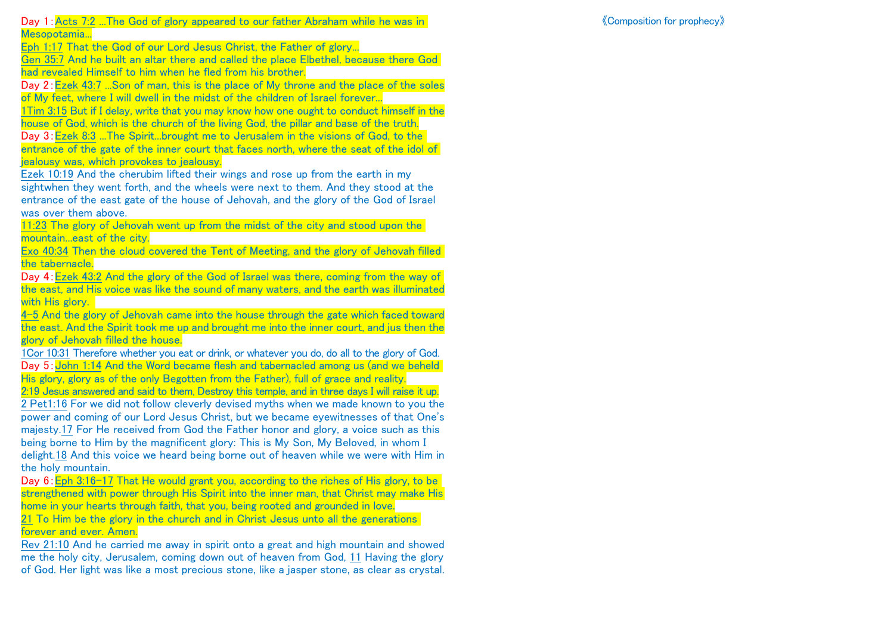Day 1:Acts 7:2 ...The God of glory appeared to our father Abraham while he was in Mesopotamia...

《Composition for prophecy》

Eph 1:17 That the God of our Lord Jesus Christ, the Father of glory...

Gen 35:7 And he built an altar there and called the place Elbethel, because there God had revealed Himself to him when he fled from his brother.

Day 2:Ezek 43:7 ...Son of man, this is the place of My throne and the place of the soles of My feet, where I will dwell in the midst of the children of Israel forever...

1Tim 3:15 But if I delay, write that you may know how one ought to conduct himself in the house of God, which is the church of the living God, the pillar and base of the truth.

Day 3:Ezek 8:3 ...The Spirit...brought me to Jerusalem in the visions of God, to the entrance of the gate of the inner court that faces north, where the seat of the idol of jealousy was, which provokes to jealousy.

Ezek 10:19 And the cherubim lifted their wings and rose up from the earth in my sightwhen they went forth, and the wheels were next to them. And they stood at the entrance of the east gate of the house of Jehovah, and the glory of the God of Israel was over them above.

11:23 The glory of Jehovah went up from the midst of the city and stood upon the mountain...east of the city.

Exo 40:34 Then the cloud covered the Tent of Meeting, and the glory of Jehovah filled the tabernacle.

Day 4:Ezek 43:2 And the glory of the God of Israel was there, coming from the way of the east, and His voice was like the sound of many waters, and the earth was illuminated with His glory.

4-5 And the glory of Jehovah came into the house through the gate which faced toward the east. And the Spirit took me up and brought me into the inner court, and jus then the glory of Jehovah filled the house.

1Cor 10:31 Therefore whether you eat or drink, or whatever you do, do all to the glory of God. Day 5: John 1:14 And the Word became flesh and tabernacled among us (and we beheld His glory, glory as of the only Begotten from the Father), full of grace and reality.

2:19 Jesus answered and said to them, Destroy this temple, and in three days I will raise it up. 2 Pet1:16 For we did not follow cleverly devised myths when we made known to you the power and coming of our Lord Jesus Christ, but we became eyewitnesses of that One's majesty.17 For He received from God the Father honor and glory, a voice such as this being borne to Him by the magnificent glory: This is My Son, My Beloved, in whom I delight.18 And this voice we heard being borne out of heaven while we were with Him in the holy mountain.

Day 6: Eph 3:16-17 That He would grant you, according to the riches of His glory, to be strengthened with power through His Spirit into the inner man, that Christ may make His home in your hearts through faith, that you, being rooted and grounded in love. 21 To Him be the glory in the church and in Christ Jesus unto all the generations forever and ever. Amen.

Rev 21:10 And he carried me away in spirit onto a great and high mountain and showed me the holy city, Jerusalem, coming down out of heaven from God, 11 Having the glory of God. Her light was like a most precious stone, like a jasper stone, as clear as crystal.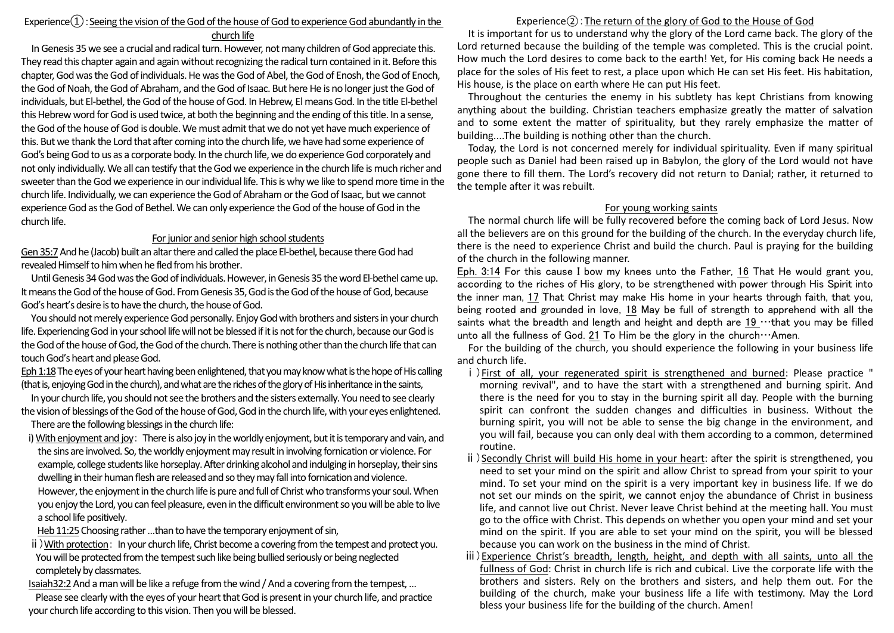# Experience $\Omega$ : Seeing the vision of the God of the house of God to experience God abundantly in the

church life

In Genesis 35 we see a crucial and radical turn. However, not many children of God appreciate this. They read this chapter again and again without recognizing the radical turn contained in it. Before this chapter, God was the God of individuals. He was the God of Abel, the God of Enosh, the God of Enoch, the God of Noah, the God of Abraham, and the God of Isaac. But here He is no longer just the God of individuals, but El-bethel, the God of the house of God. In Hebrew, El means God. In the title El-bethel this Hebrew word for God is used twice, at both the beginning and the ending of this title. In a sense, the God of the house of God is double. We must admit that we do not yet have much experience of this. But we thank the Lord that after coming into the church life, we have had some experience of God's being God to us as a corporate body. In the church life, we do experience God corporately and not only individually. We all can testify that the God we experience in the church life is much richer and sweeter than the God we experience in our individual life. This is why we like to spend more time in the church life. Individually, we can experience the God of Abraham or the God of Isaac, but we cannot experience God as the God of Bethel. We can only experience the God of the house of God in the church life.

#### For junior and senior high school students

Gen 35:7And he (Jacob) built an altar there and called the place El-bethel, because there God had revealed Himself to him when he fled from his brother.

Until Genesis 34 God was the God of individuals. However, in Genesis 35 the word El-bethel came up. It means the God of the house of God. FromGenesis 35, God is the God of the house of God, because God's heart's desire is to have the church, the house of God.

You should not merely experience God personally. Enjoy God with brothers and sisters in your church life. Experiencing God in your school life will not be blessed if it is not for the church, because our God is the God of the house of God, the God of the church. There is nothing other than the church life that can touch God's heart and please God.

Eph 1:18The eyes of your heart having been enlightened, that you may know what is the hope of His calling (that is, enjoying God in the church), and what are the riches of the glory of His inheritance in the saints,

In your church life, you should not see the brothers and the sisters externally. You need to see clearly the vision of blessings of the God of the house of God, God in the church life, with your eyes enlightened. There are the following blessings in the church life:

i) With enjoyment and joy: There is also joy in the worldly enjoyment, but it is temporary and vain, and the sins are involved. So, the worldly enjoyment may result in involving fornication or violence. For example, college students like horseplay. After drinking alcoholand indulging in horseplay, their sins dwelling in their human flesh are released and so they may fall into fornication and violence. However, the enjoyment in the church life is pure and full of Christ who transforms your soul. When you enjoy the Lord, you can feel pleasure, even in the difficult environmentso you will be able to live a school life positively.

Heb 11:25 Choosing rather ...than to have the temporary enjoyment of sin,

ⅱ)With protection: In your church life, Christ become a covering from the tempest and protect you. You will be protected from the tempest such like being bullied seriously or being neglected completely by classmates.

Isaiah32:2And a man will be like a refuge from the wind / And a covering from the tempest, …

Please see clearly with the eyes of your heart that God is present in your church life, and practice your church life according to this vision. Then you will be blessed.

## Experience $(2)$ : The return of the glory of God to the House of God

It is important for us to understand why the glory of the Lord came back. The glory of the Lord returned because the building of the temple was completed. This is the crucial point. How much the Lord desires to come back to the earth! Yet, for His coming back He needs a place for the soles of His feet to rest, a place upon which He can set His feet. His habitation, His house, is the place on earth where He can put His feet.

Throughout the centuries the enemy in his subtlety has kept Christians from knowing anything about the building. Christian teachers emphasize greatly the matter of salvation and to some extent the matter of spirituality, but they rarely emphasize the matter of building....The building is nothing other than the church.

Today, the Lord is not concerned merely for individual spirituality. Even if many spiritual people such as Daniel had been raised up in Babylon, the glory of the Lord would not have gone there to fill them. The Lord's recovery did not return to Danial; rather, it returned to the temple after it was rebuilt.

### For young working saints

The normal church life will be fully recovered before the coming back of Lord Jesus. Now all the believers are on this ground for the building of the church. In the everyday church life, there is the need to experience Christ and build the church. Paul is praying for the building of the church in the following manner.

Eph. 3:14 For this cause I bow my knees unto the Father, 16 That He would grant you, according to the riches of His glory, to be strengthened with power through His Spirit into the inner man, 17 That Christ may make His home in your hearts through faith, that you, being rooted and grounded in love, 18 May be full of strength to apprehend with all the saints what the breadth and length and height and depth are  $19 \cdots$ that you may be filled unto all the fullness of God. 21 To Him be the glory in the church $\cdots$ Amen.

For the building of the church, you should experience the following in your business life and church life.

- ⅰ)First of all, your regenerated spirit is strengthened and burned: Please practice " morning revival", and to have the start with a strengthened and burning spirit. And there is the need for you to stay in the burning spirit all day. People with the burning spirit can confront the sudden changes and difficulties in business. Without the burning spirit, you will not be able to sense the big change in the environment, and you will fail, because you can only deal with them according to a common, determined routine.
- ⅱ)Secondly Christ will build His home in your heart: after the spirit is strengthened, you need to set your mind on the spirit and allow Christ to spread from your spirit to your mind. To set your mind on the spirit is a very important key in business life. If we do not set our minds on the spirit, we cannot enjoy the abundance of Christ in business life, and cannot live out Christ. Never leave Christ behind at the meeting hall. You must go to the office with Christ. This depends on whether you open your mind and set your mind on the spirit. If you are able to set your mind on the spirit, you will be blessed because you can work on the business in the mind of Christ.
- ⅲ)Experience Christ's breadth, length, height, and depth with all saints, unto all the fullness of God: Christ in church life is rich and cubical. Live the corporate life with the brothers and sisters. Rely on the brothers and sisters, and help them out. For the building of the church, make your business life a life with testimony. May the Lord bless your business life for the building of the church. Amen!